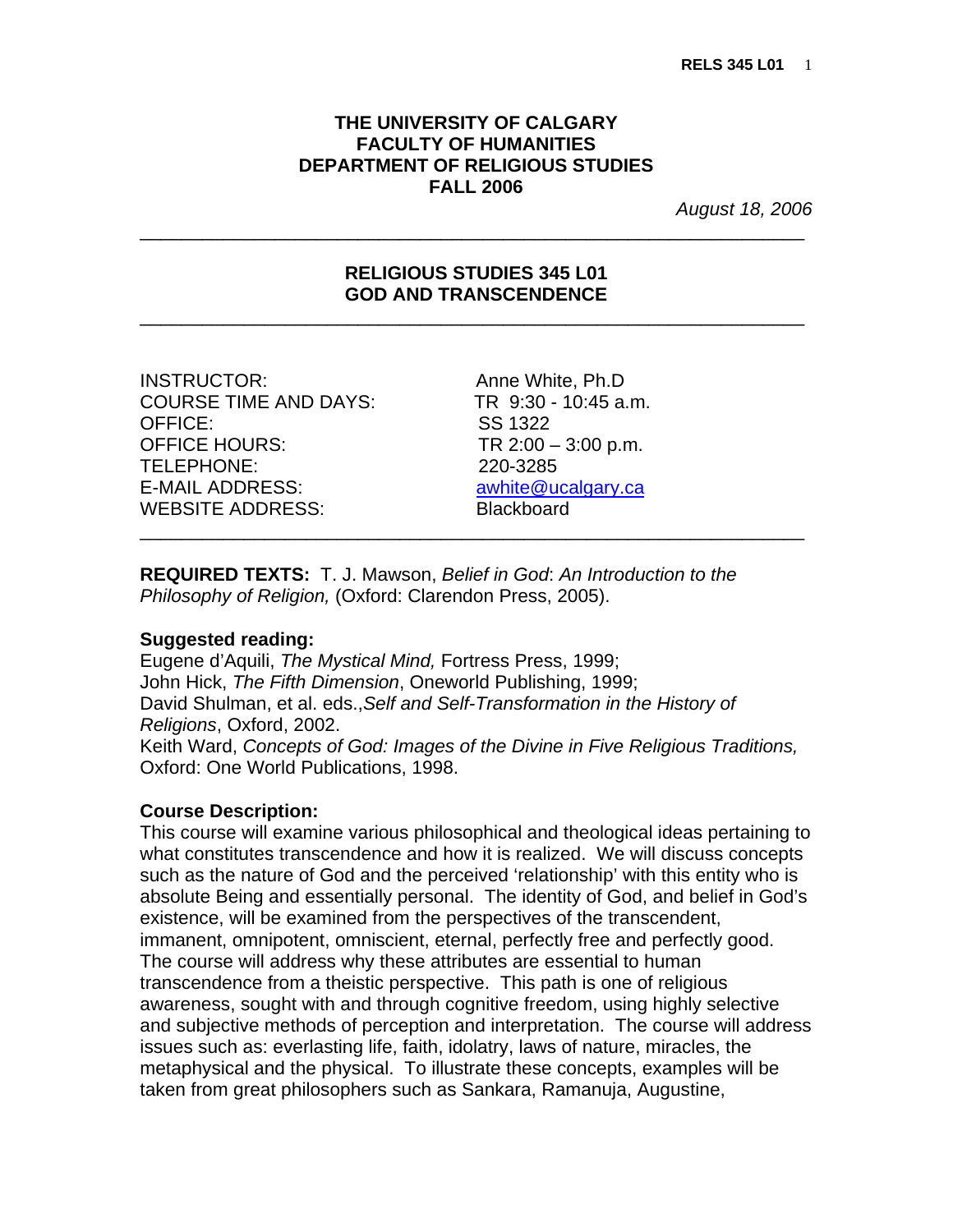### **THE UNIVERSITY OF CALGARY FACULTY OF HUMANITIES DEPARTMENT OF RELIGIOUS STUDIES FALL 2006**

*August 18, 2006* 

### **RELIGIOUS STUDIES 345 L01 GOD AND TRANSCENDENCE**

\_\_\_\_\_\_\_\_\_\_\_\_\_\_\_\_\_\_\_\_\_\_\_\_\_\_\_\_\_\_\_\_\_\_\_\_\_\_\_\_\_\_\_\_\_\_\_\_\_\_\_\_\_\_\_\_\_\_\_\_\_\_\_\_

\_\_\_\_\_\_\_\_\_\_\_\_\_\_\_\_\_\_\_\_\_\_\_\_\_\_\_\_\_\_\_\_\_\_\_\_\_\_\_\_\_\_\_\_\_\_\_\_\_\_\_\_\_\_\_\_\_\_\_\_\_\_\_\_

\_\_\_\_\_\_\_\_\_\_\_\_\_\_\_\_\_\_\_\_\_\_\_\_\_\_\_\_\_\_\_\_\_\_\_\_\_\_\_\_\_\_\_\_\_\_\_\_\_\_\_\_\_\_\_\_\_\_\_\_\_\_\_\_

INSTRUCTOR: Anne White, Ph.D COURSE TIME AND DAYS: TR 9:30 - 10:45 a.m. OFFICE: SS 1322 OFFICE HOURS: TR 2:00 – 3:00 p.m. TELEPHONE: 220-3285 E-MAIL ADDRESS: and awhite@ucalgary.ca WEBSITE ADDRESS: Blackboard

**REQUIRED TEXTS:** T. J. Mawson, *Belief in God*: *An Introduction to the Philosophy of Religion,* (Oxford: Clarendon Press, 2005).

#### **Suggested reading:**

Eugene d'Aquili, *The Mystical Mind,* Fortress Press, 1999; John Hick, *The Fifth Dimension*, Oneworld Publishing, 1999; David Shulman, et al. eds.,*Self and Self-Transformation in the History of Religions*, Oxford, 2002. Keith Ward, *Concepts of God: Images of the Divine in Five Religious Traditions,*  Oxford: One World Publications, 1998.

#### **Course Description:**

This course will examine various philosophical and theological ideas pertaining to what constitutes transcendence and how it is realized. We will discuss concepts such as the nature of God and the perceived 'relationship' with this entity who is absolute Being and essentially personal. The identity of God, and belief in God's existence, will be examined from the perspectives of the transcendent, immanent, omnipotent, omniscient, eternal, perfectly free and perfectly good. The course will address why these attributes are essential to human transcendence from a theistic perspective. This path is one of religious awareness, sought with and through cognitive freedom, using highly selective and subjective methods of perception and interpretation. The course will address issues such as: everlasting life, faith, idolatry, laws of nature, miracles, the metaphysical and the physical. To illustrate these concepts, examples will be taken from great philosophers such as Sankara, Ramanuja, Augustine,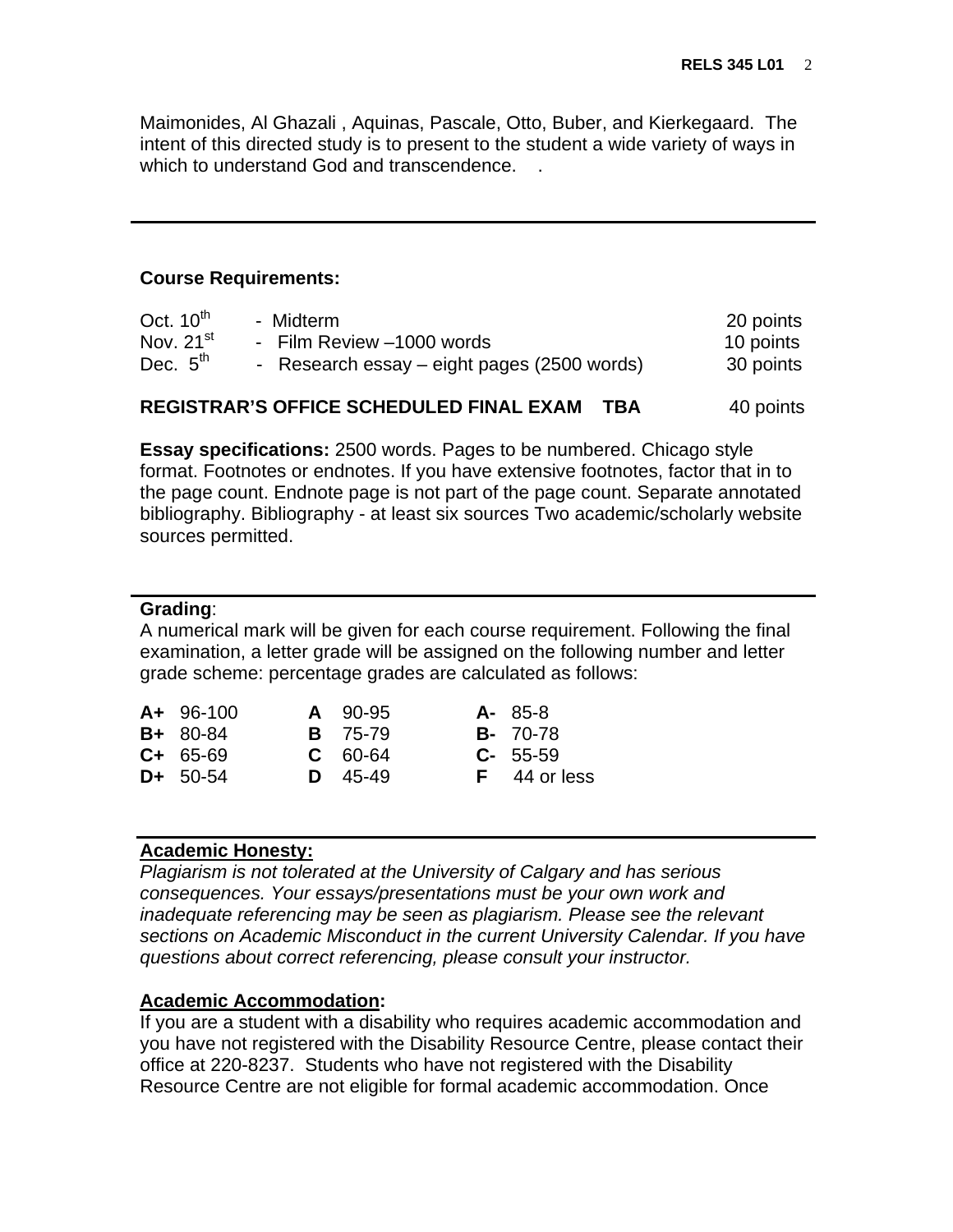Maimonides, Al Ghazali , Aquinas, Pascale, Otto, Buber, and Kierkegaard. The intent of this directed study is to present to the student a wide variety of ways in which to understand God and transcendence.

## **Course Requirements:**

| Oct. $10^{th}$ | - Midterm                                   | 20 points |
|----------------|---------------------------------------------|-----------|
| Nov. $21st$    | - Film Review -1000 words                   | 10 points |
| Dec. $5th$     | - Research essay – eight pages (2500 words) | 30 points |

**REGISTRAR'S OFFICE SCHEDULED FINAL EXAM TBA** 40 points

**Essay specifications:** 2500 words. Pages to be numbered. Chicago style format. Footnotes or endnotes. If you have extensive footnotes, factor that in to the page count. Endnote page is not part of the page count. Separate annotated bibliography. Bibliography - at least six sources Two academic/scholarly website sources permitted.

## **Grading**:

A numerical mark will be given for each course requirement. Following the final examination, a letter grade will be assigned on the following number and letter grade scheme: percentage grades are calculated as follows:

| $A+ 96-100$   | A 90-95        | $A - 85-8$       |
|---------------|----------------|------------------|
| $B + 80 - 84$ | <b>B</b> 75-79 | <b>B-</b> 70-78  |
| $C+ 65-69$    | $C$ 60-64      | $C - 55-59$      |
| $D+ 50-54$    | $D = 45-49$    | $F = 44$ or less |

# **Academic Honesty:**

*Plagiarism is not tolerated at the University of Calgary and has serious consequences. Your essays/presentations must be your own work and inadequate referencing may be seen as plagiarism. Please see the relevant sections on Academic Misconduct in the current University Calendar. If you have questions about correct referencing, please consult your instructor.* 

# **Academic Accommodation:**

If you are a student with a disability who requires academic accommodation and you have not registered with the Disability Resource Centre, please contact their office at 220-8237. Students who have not registered with the Disability Resource Centre are not eligible for formal academic accommodation. Once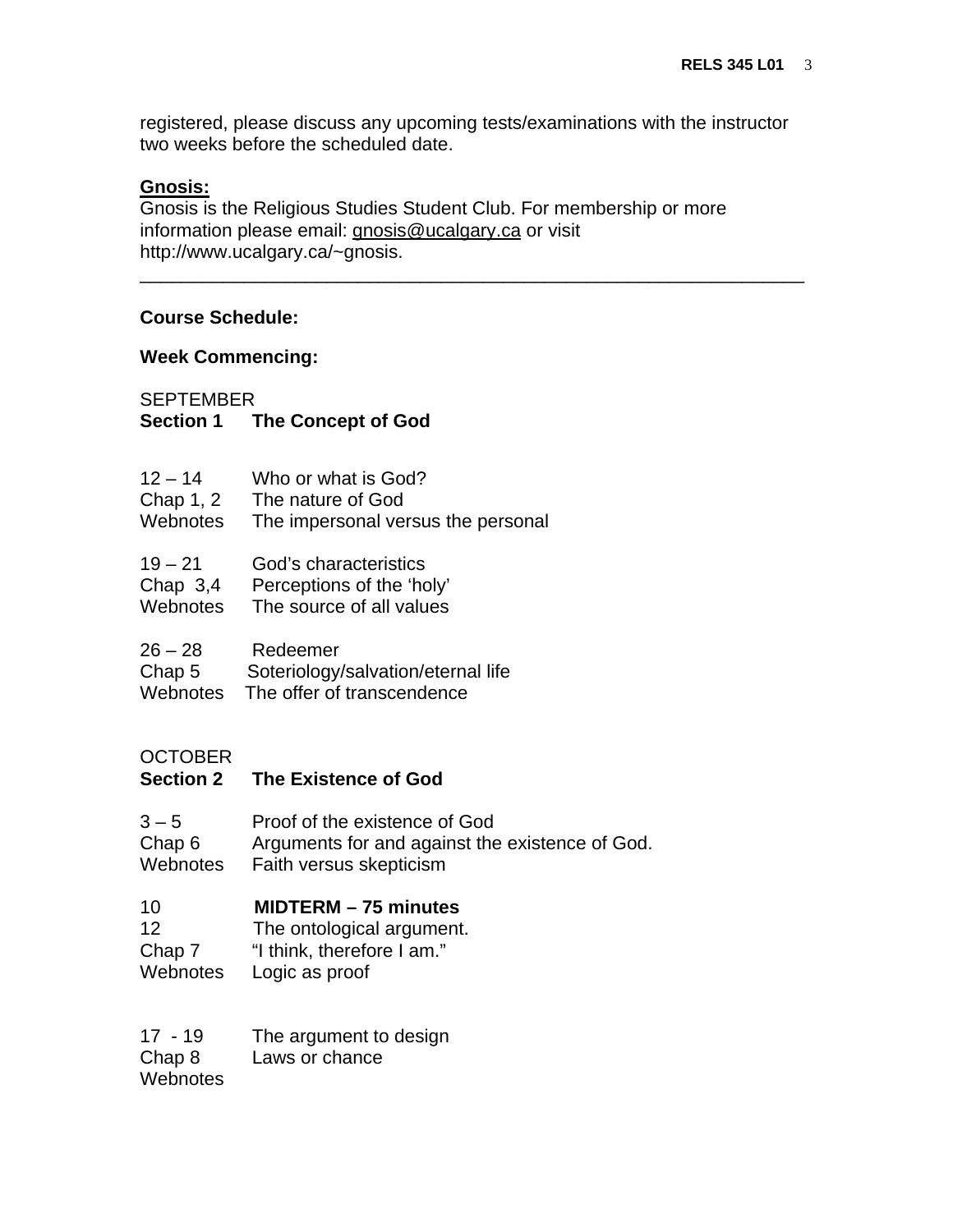registered, please discuss any upcoming tests/examinations with the instructor two weeks before the scheduled date.

\_\_\_\_\_\_\_\_\_\_\_\_\_\_\_\_\_\_\_\_\_\_\_\_\_\_\_\_\_\_\_\_\_\_\_\_\_\_\_\_\_\_\_\_\_\_\_\_\_\_\_\_\_\_\_\_\_\_\_\_\_\_\_\_

### **Gnosis:**

Gnosis is the Religious Studies Student Club. For membership or more information please email: gnosis@ucalgary.ca or visit http://www.ucalgary.ca/~gnosis.

### **Course Schedule:**

#### **Week Commencing:**

#### **SEPTEMBER Section 1 The Concept of God**

| $12 - 14$   | Who or what is God?                |
|-------------|------------------------------------|
| Chap $1, 2$ | The nature of God                  |
| Webnotes    | The impersonal versus the personal |

| $19 - 21$ | God's characteristics |
|-----------|-----------------------|
|-----------|-----------------------|

- Chap 3,4 Perceptions of the 'holy'
- Webnotes The source of all values

| $26 - 28$ | Redeemer                           |
|-----------|------------------------------------|
| Chap 5    | Soteriology/salvation/eternal life |
| Webnotes  | The offer of transcendence         |

# **OCTOBER**

- **Section 2 The Existence of God**
- 3 5 Proof of the existence of God
- Chap 6 Arguments for and against the existence of God. Webnotes Faith versus skepticism

## 10 **MIDTERM – 75 minutes**

12 The ontological argument.

- Chap 7 "I think, therefore I am."
- Webnotes Logic as proof

| $17 - 19$ |  | The argument to design |
|-----------|--|------------------------|
|-----------|--|------------------------|

Chap 8 Laws or chance

**Webnotes**